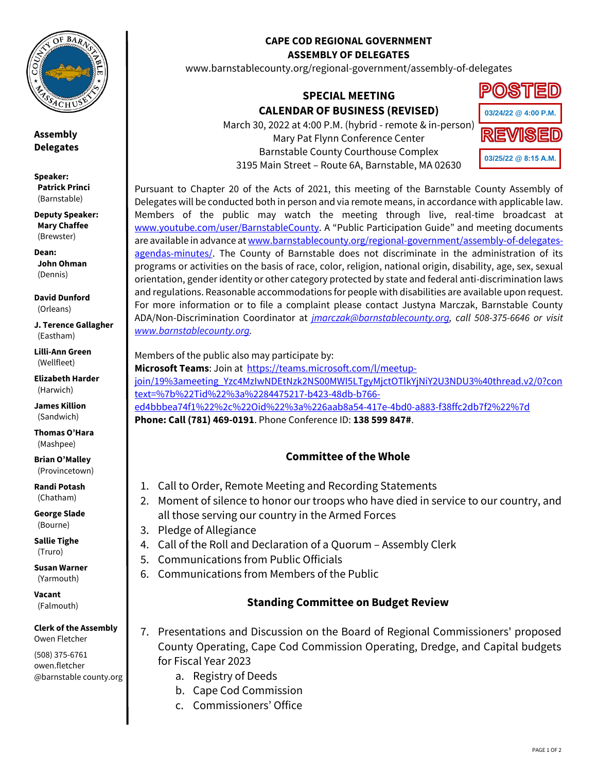

**Assembly Delegates**

**Speaker: Patrick Princi** (Barnstable)

**Deputy Speaker: Mary Chaffee** (Brewster)

**Dean: John Ohman** (Dennis)

**David Dunford** (Orleans)

**J. Terence Gallagher** (Eastham)

**Lilli-Ann Green** (Wellfleet)

**Elizabeth Harder** (Harwich)

**James Killion** (Sandwich)

**Thomas O'Hara** (Mashpee)

**Brian O'Malley** (Provincetown)

**Randi Potash** (Chatham)

**George Slade** (Bourne)

**Sallie Tighe** (Truro)

**Susan Warner** (Yarmouth)

**Vacant** (Falmouth)

**Clerk of the Assembly** Owen Fletcher

(508) 375-6761 owen.fletcher @barnstable county.org

#### **CAPE COD REGIONAL GOVERNMENT ASSEMBLY OF DELEGATES**

www.barnstablecounty.org/regional-government/assembly-of-delegates

# **SPECIAL MEETING CALENDAR OF BUSINESS (REVISED)**

March 30, 2022 at 4:00 P.M. (hybrid - remote & in-person) Mary Pat Flynn Conference Center Barnstable County Courthouse Complex 3195 Main Street – Route 6A, Barnstable, MA 02630



Pursuant to Chapter 20 of the Acts of 2021, this meeting of the Barnstable County Assembly of Delegates will be conducted both in person and via remote means, in accordance with applicable law. Members of the public may watch the meeting through live, real-time broadcast at [www.youtube.com/user/BarnstableCounty](http://www.youtube.com/user/BarnstableCounty). A "Public Participation Guide" and meeting documents are available in advance a[t www.barnstablecounty.org/regional-government/assembly-of-delegates](http://www.barnstablecounty.org/regional-government/assembly-of-delegates-agendas-minutes/)[agendas-minutes/.](http://www.barnstablecounty.org/regional-government/assembly-of-delegates-agendas-minutes/) The County of Barnstable does not discriminate in the administration of its programs or activities on the basis of race, color, religion, national origin, disability, age, sex, sexual orientation, gender identity or other category protected by state and federal anti-discrimination laws and regulations. Reasonable accommodations for people with disabilities are available upon request. For more information or to file a complaint please contact Justyna Marczak, Barnstable County ADA/Non-Discrimination Coordinator at *[jmarczak@barnstablecounty.org,](mailto:jmarczak@barnstablecounty.org) call 508-375-6646 or visit [www.barnstablecounty.org.](https://gcc02.safelinks.protection.outlook.com/?url=http%3A%2F%2Fwww.barnstablecounty.org%2F&data=04%7C01%7Cowen.fletcher%40barnstablecounty.org%7Cb6c2054b3d3e43537fd608d98f3cad23%7C84475217b42348dbb766ed4bbbea74f1%7C0%7C0%7C637698313027351048%7CUnknown%7CTWFpbGZsb3d8eyJWIjoiMC4wLjAwMDAiLCJQIjoiV2luMzIiLCJBTiI6Ik1haWwiLCJXVCI6Mn0%3D%7C1000&sdata=JjKljthg%2FpRRQLpI%2FMSMXe0OYMe6HnqmG3ntLErXZOY%3D&reserved=0)*

Members of the public also may participate by:

**Microsoft Teams**: Join at [https://teams.microsoft.com/l/meetup](https://teams.microsoft.com/l/meetup-join/19%3ameeting_Yzc4MzIwNDEtNzk2NS00MWI5LTgyMjctOTlkYjNiY2U3NDU3%40thread.v2/0?context=%7b%22Tid%22%3a%2284475217-b423-48db-b766-ed4bbbea74f1%22%2c%22Oid%22%3a%226aab8a54-417e-4bd0-a883-f38ffc2db7f2%22%7d)[join/19%3ameeting\\_Yzc4MzIwNDEtNzk2NS00MWI5LTgyMjctOTlkYjNiY2U3NDU3%40thread.v2/0?con](https://teams.microsoft.com/l/meetup-join/19%3ameeting_Yzc4MzIwNDEtNzk2NS00MWI5LTgyMjctOTlkYjNiY2U3NDU3%40thread.v2/0?context=%7b%22Tid%22%3a%2284475217-b423-48db-b766-ed4bbbea74f1%22%2c%22Oid%22%3a%226aab8a54-417e-4bd0-a883-f38ffc2db7f2%22%7d) [text=%7b%22Tid%22%3a%2284475217-b423-48db-b766](https://teams.microsoft.com/l/meetup-join/19%3ameeting_Yzc4MzIwNDEtNzk2NS00MWI5LTgyMjctOTlkYjNiY2U3NDU3%40thread.v2/0?context=%7b%22Tid%22%3a%2284475217-b423-48db-b766-ed4bbbea74f1%22%2c%22Oid%22%3a%226aab8a54-417e-4bd0-a883-f38ffc2db7f2%22%7d) [ed4bbbea74f1%22%2c%22Oid%22%3a%226aab8a54-417e-4bd0-a883-f38ffc2db7f2%22%7d](https://teams.microsoft.com/l/meetup-join/19%3ameeting_Yzc4MzIwNDEtNzk2NS00MWI5LTgyMjctOTlkYjNiY2U3NDU3%40thread.v2/0?context=%7b%22Tid%22%3a%2284475217-b423-48db-b766-ed4bbbea74f1%22%2c%22Oid%22%3a%226aab8a54-417e-4bd0-a883-f38ffc2db7f2%22%7d) **Phone: Call (781) 469-0191**. Phone Conference ID: **138 599 847#**.

## **Committee of the Whole**

- 1. Call to Order, Remote Meeting and Recording Statements
- 2. Moment of silence to honor our troops who have died in service to our country, and all those serving our country in the Armed Forces
- 3. Pledge of Allegiance
- 4. Call of the Roll and Declaration of a Quorum Assembly Clerk
- 5. Communications from Public Officials
- 6. Communications from Members of the Public

## **Standing Committee on Budget Review**

- 7. Presentations and Discussion on the Board of Regional Commissioners' proposed County Operating, Cape Cod Commission Operating, Dredge, and Capital budgets for Fiscal Year 2023
	- a. Registry of Deeds
	- b. Cape Cod Commission
	- c. Commissioners' Office